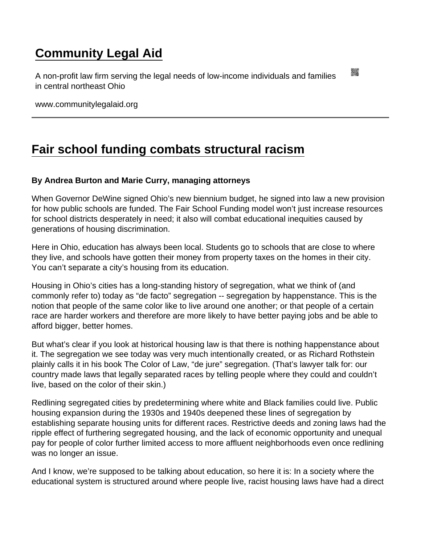## [Community Legal Aid](https://www.communitylegalaid.org/)

A non-profit law firm serving the legal needs of low-income individuals and families in central northeast Ohio

www.communitylegalaid.org

## [Fair school funding combats structural racism](https://www.communitylegalaid.org/node/1572/fair-school-funding-combats-structural-racism)

By Andrea Burton and Marie Curry, managing attorneys

When Governor DeWine signed Ohio's new biennium budget, he signed into law a new provision for how public schools are funded. The Fair School Funding model won't just increase resources for school districts desperately in need; it also will combat educational inequities caused by generations of housing discrimination.

Here in Ohio, education has always been local. Students go to schools that are close to where they live, and schools have gotten their money from property taxes on the homes in their city. You can't separate a city's housing from its education.

Housing in Ohio's cities has a long-standing history of segregation, what we think of (and commonly refer to) today as "de facto" segregation -- segregation by happenstance. This is the notion that people of the same color like to live around one another; or that people of a certain race are harder workers and therefore are more likely to have better paying jobs and be able to afford bigger, better homes.

But what's clear if you look at historical housing law is that there is nothing happenstance about it. The segregation we see today was very much intentionally created, or as Richard Rothstein plainly calls it in his book The Color of Law, "de jure" segregation. (That's lawyer talk for: our country made laws that legally separated races by telling people where they could and couldn't live, based on the color of their skin.)

Redlining segregated cities by predetermining where white and Black families could live. Public housing expansion during the 1930s and 1940s deepened these lines of segregation by establishing separate housing units for different races. Restrictive deeds and zoning laws had the ripple effect of furthering segregated housing, and the lack of economic opportunity and unequal pay for people of color further limited access to more affluent neighborhoods even once redlining was no longer an issue.

And I know, we're supposed to be talking about education, so here it is: In a society where the educational system is structured around where people live, racist housing laws have had a direct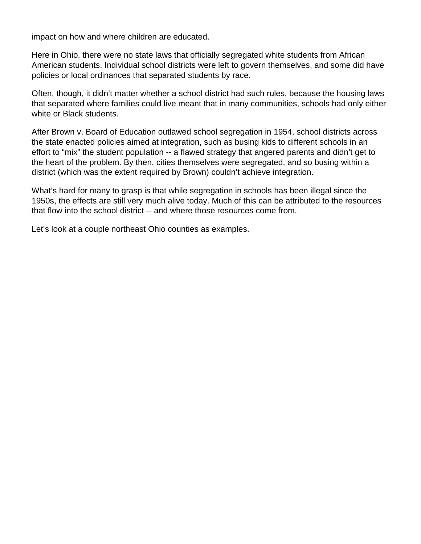impact on how and where children are educated.

Here in Ohio, there were no state laws that officially segregated white students from African American students. Individual school districts were left to govern themselves, and some did have policies or local ordinances that separated students by race.

Often, though, it didn't matter whether a school district had such rules, because the housing laws that separated where families could live meant that in many communities, schools had only either white or Black students.

After Brown v. Board of Education outlawed school segregation in 1954, school districts across the state enacted policies aimed at integration, such as busing kids to different schools in an effort to "mix" the student population -- a flawed strategy that angered parents and didn't get to the heart of the problem. By then, cities themselves were segregated, and so busing within a district (which was the extent required by Brown) couldn't achieve integration.

What's hard for many to grasp is that while segregation in schools has been illegal since the 1950s, the effects are still very much alive today. Much of this can be attributed to the resources that flow into the school district -- and where those resources come from.

Let's look at a couple northeast Ohio counties as examples.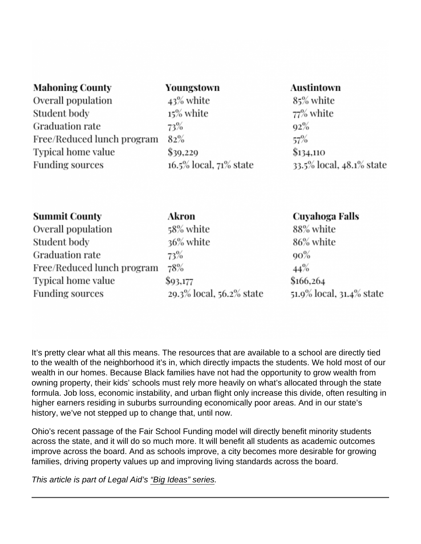It's pretty clear what all this means. The resources that are available to a school are directly tied to the wealth of the neighborhood it's in, which directly impacts the students. We hold most of our wealth in our homes. Because Black families have not had the opportunity to grow wealth from owning property, their kids' schools must rely more heavily on what's allocated through the state formula. Job loss, economic instability, and urban flight only increase this divide, often resulting in higher earners residing in suburbs surrounding economically poor areas. And in our state's history, we've not stepped up to change that, until now.

Ohio's recent passage of the Fair School Funding model will directly benefit minority students across the state, and it will do so much more. It will benefit all students as academic outcomes improve across the board. And as schools improve, a city becomes more desirable for growing families, driving property values up and improving living standards across the board.

This article is part of Legal Aid's ["Big Ideas" series](http://www.communitylegalaid.org/bigideas).